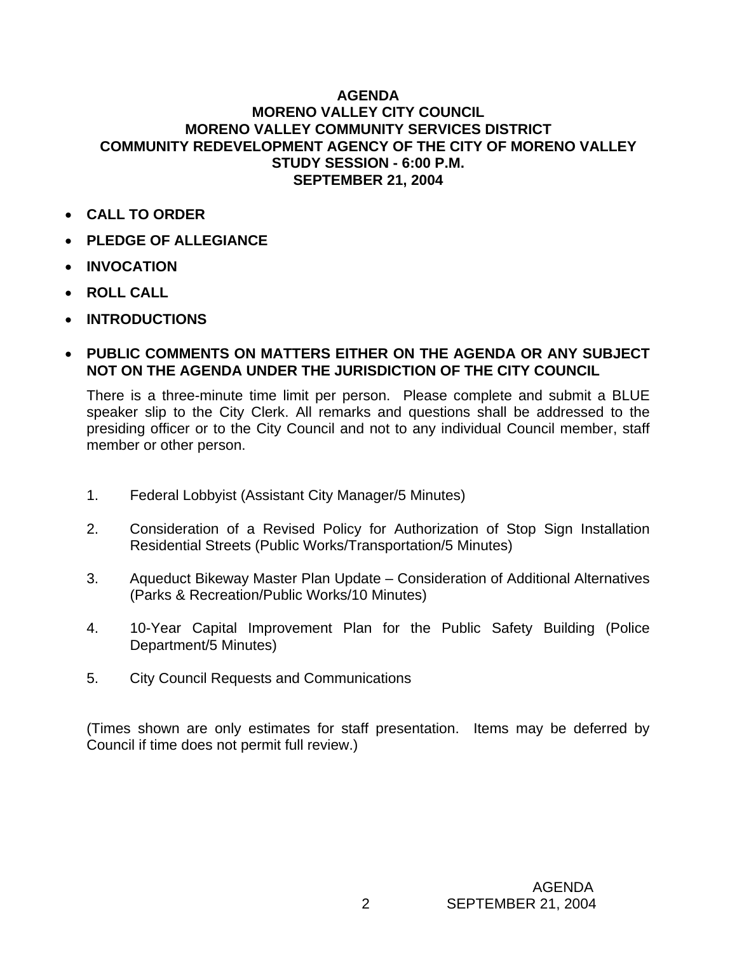## **AGENDA MORENO VALLEY CITY COUNCIL MORENO VALLEY COMMUNITY SERVICES DISTRICT COMMUNITY REDEVELOPMENT AGENCY OF THE CITY OF MORENO VALLEY STUDY SESSION - 6:00 P.M. SEPTEMBER 21, 2004**

- **CALL TO ORDER**
- **PLEDGE OF ALLEGIANCE**
- **INVOCATION**
- **ROLL CALL**
- **INTRODUCTIONS**
- **PUBLIC COMMENTS ON MATTERS EITHER ON THE AGENDA OR ANY SUBJECT NOT ON THE AGENDA UNDER THE JURISDICTION OF THE CITY COUNCIL**

There is a three-minute time limit per person. Please complete and submit a BLUE speaker slip to the City Clerk. All remarks and questions shall be addressed to the presiding officer or to the City Council and not to any individual Council member, staff member or other person.

- 1. Federal Lobbyist (Assistant City Manager/5 Minutes)
- 2. Consideration of a Revised Policy for Authorization of Stop Sign Installation Residential Streets (Public Works/Transportation/5 Minutes)
- 3. Aqueduct Bikeway Master Plan Update Consideration of Additional Alternatives (Parks & Recreation/Public Works/10 Minutes)
- 4. 10-Year Capital Improvement Plan for the Public Safety Building (Police Department/5 Minutes)
- 5. City Council Requests and Communications

(Times shown are only estimates for staff presentation. Items may be deferred by Council if time does not permit full review.)